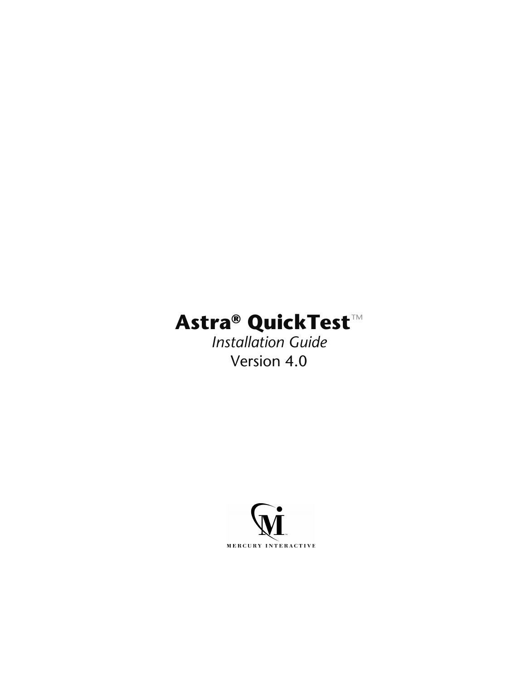# **Astra® QuickTest**™

## *Installation Guide* Version 4.0

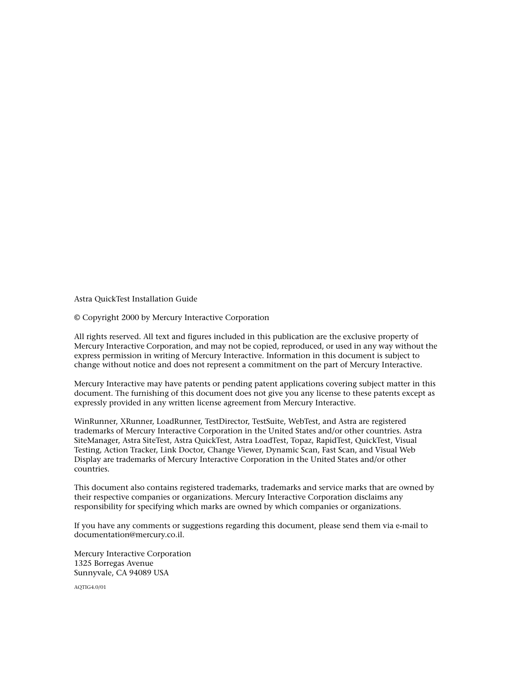Astra QuickTest Installation Guide

© Copyright 2000 by Mercury Interactive Corporation

All rights reserved. All text and figures included in this publication are the exclusive property of Mercury Interactive Corporation, and may not be copied, reproduced, or used in any way without the express permission in writing of Mercury Interactive. Information in this document is subject to change without notice and does not represent a commitment on the part of Mercury Interactive.

Mercury Interactive may have patents or pending patent applications covering subject matter in this document. The furnishing of this document does not give you any license to these patents except as expressly provided in any written license agreement from Mercury Interactive.

WinRunner, XRunner, LoadRunner, TestDirector, TestSuite, WebTest, and Astra are registered trademarks of Mercury Interactive Corporation in the United States and/or other countries. Astra SiteManager, Astra SiteTest, Astra QuickTest, Astra LoadTest, Topaz, RapidTest, QuickTest, Visual Testing, Action Tracker, Link Doctor, Change Viewer, Dynamic Scan, Fast Scan, and Visual Web Display are trademarks of Mercury Interactive Corporation in the United States and/or other countries.

This document also contains registered trademarks, trademarks and service marks that are owned by their respective companies or organizations. Mercury Interactive Corporation disclaims any responsibility for specifying which marks are owned by which companies or organizations.

If you have any comments or suggestions regarding this document, please send them via e-mail to documentation@mercury.co.il.

Mercury Interactive Corporation 1325 Borregas Avenue Sunnyvale, CA 94089 USA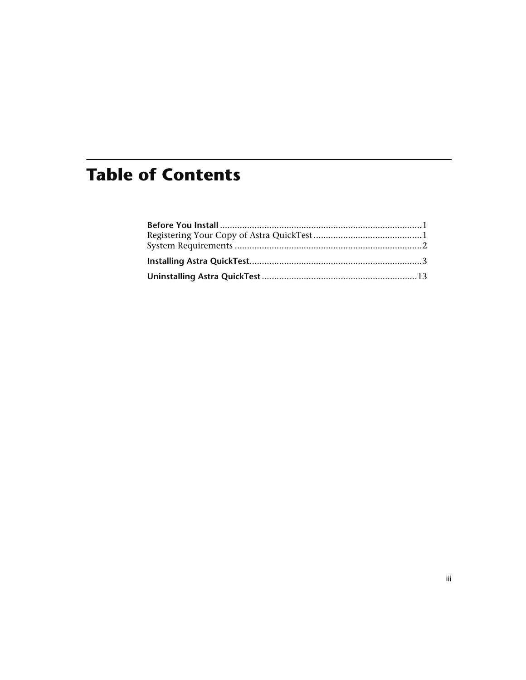# **Table of Contents**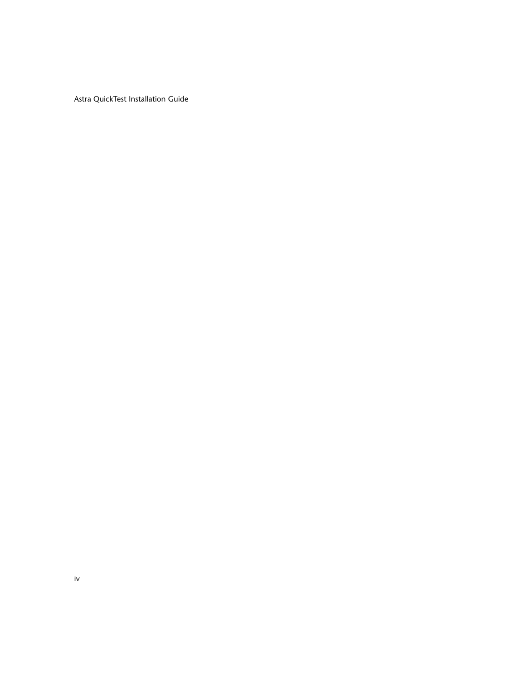Astra QuickTest Installation Guide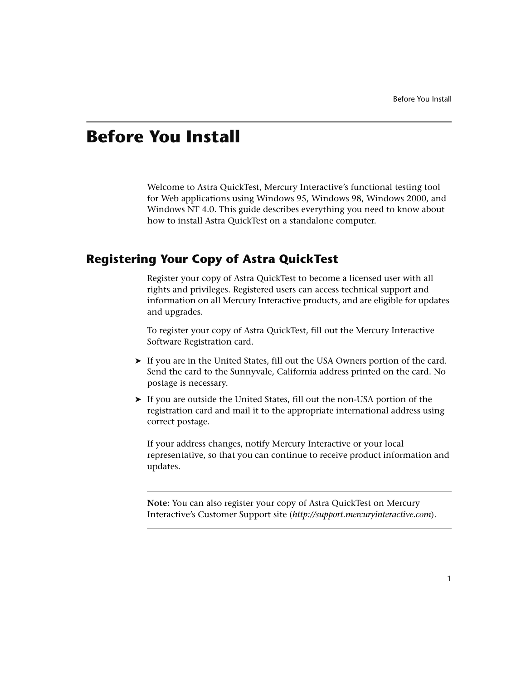## <span id="page-4-0"></span>**Before You Install**

Welcome to Astra QuickTest, Mercury Interactive's functional testing tool for Web applications using Windows 95, Windows 98, Windows 2000, and Windows NT 4.0. This guide describes everything you need to know about how to install Astra QuickTest on a standalone computer.

### <span id="page-4-1"></span>**Registering Your Copy of Astra QuickTest**

Register your copy of Astra QuickTest to become a licensed user with all rights and privileges. Registered users can access technical support and information on all Mercury Interactive products, and are eligible for updates and upgrades.

To register your copy of Astra QuickTest, fill out the Mercury Interactive Software Registration card.

- ➤ If you are in the United States, fill out the USA Owners portion of the card. Send the card to the Sunnyvale, California address printed on the card. No postage is necessary.
- ➤ If you are outside the United States, fill out the non-USA portion of the registration card and mail it to the appropriate international address using correct postage.

If your address changes, notify Mercury Interactive or your local representative, so that you can continue to receive product information and updates.

**Note:** You can also register your copy of Astra QuickTest on Mercury Interactive's Customer Support site (*http://support.mercuryinteractive.com*).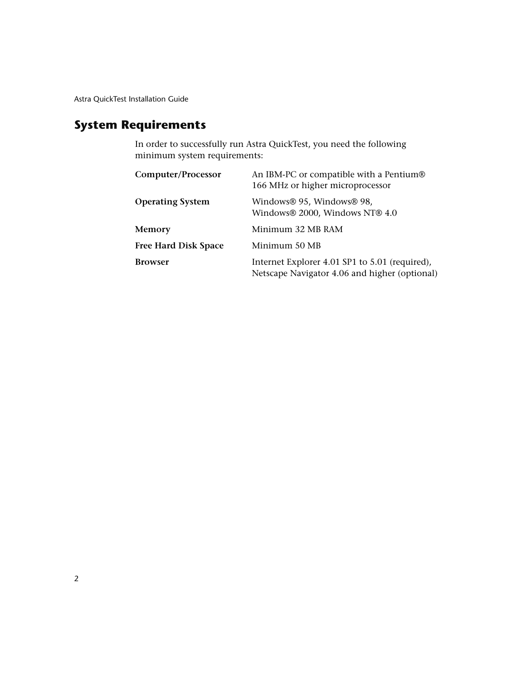## <span id="page-5-0"></span>**System Requirements**

In order to successfully run Astra QuickTest, you need the following minimum system requirements:

| An IBM-PC or compatible with a Pentium®<br>166 MHz or higher microprocessor                     |  |
|-------------------------------------------------------------------------------------------------|--|
| Windows® 95, Windows® 98,<br>Windows® 2000, Windows NT® 4.0                                     |  |
| Minimum 32 MB RAM                                                                               |  |
| Minimum 50 MB                                                                                   |  |
| Internet Explorer 4.01 SP1 to 5.01 (required),<br>Netscape Navigator 4.06 and higher (optional) |  |
|                                                                                                 |  |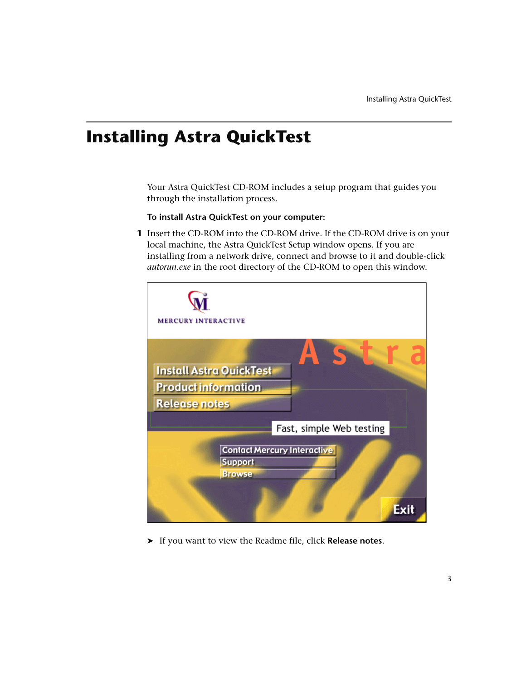## <span id="page-6-0"></span>**Installing Astra QuickTest**

Your Astra QuickTest CD-ROM includes a setup program that guides you through the installation process.

#### **To install Astra QuickTest on your computer:**

 **1** Insert the CD-ROM into the CD-ROM drive. If the CD-ROM drive is on your local machine, the Astra QuickTest Setup window opens. If you are installing from a network drive, connect and browse to it and double-click *autorun.exe* in the root directory of the CD-ROM to open this window.



➤ If you want to view the Readme file, click **Release notes**.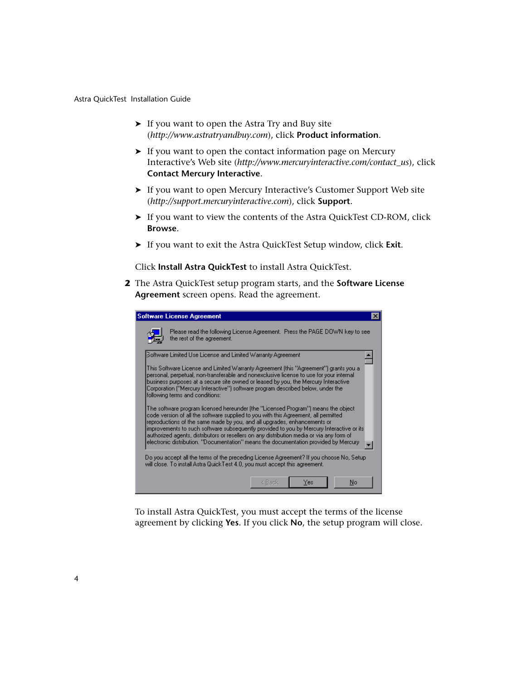- ➤ If you want to open the Astra Try and Buy site (*http://www.astratryandbuy.com*), click **Product information**.
- ➤ If you want to open the contact information page on Mercury Interactive's Web site (*http://www.mercuryinteractive.com/contact\_us*), click **Contact Mercury Interactive**.
- ➤ If you want to open Mercury Interactive's Customer Support Web site (*http://support.mercuryinteractive.com*), click **Support**.
- ➤ If you want to view the contents of the Astra QuickTest CD-ROM, click **Browse**.
- ➤ If you want to exit the Astra QuickTest Setup window, click **Exit**.

Click **Install Astra QuickTest** to install Astra QuickTest.

 **2** The Astra QuickTest setup program starts, and the **Software License Agreement** screen opens. Read the agreement.

| Software License Agreement<br>×                                                                                                                                                                                                                                                                                                                                                                                                                                                                                                                                                                                                                                                                                                                                                                                                                                                                                                                                                                       |  |  |
|-------------------------------------------------------------------------------------------------------------------------------------------------------------------------------------------------------------------------------------------------------------------------------------------------------------------------------------------------------------------------------------------------------------------------------------------------------------------------------------------------------------------------------------------------------------------------------------------------------------------------------------------------------------------------------------------------------------------------------------------------------------------------------------------------------------------------------------------------------------------------------------------------------------------------------------------------------------------------------------------------------|--|--|
| Please read the following License Agreement. Press the PAGE DOWN key to see.<br>the rest of the agreement.                                                                                                                                                                                                                                                                                                                                                                                                                                                                                                                                                                                                                                                                                                                                                                                                                                                                                            |  |  |
| Boftware Limited Use License and Limited Warranty Agreement<br>This Software License and Limited Warranty Agreement (this "Agreement") grants you a<br>personal, perpetual, non-transferable and nonexclusive license to use for your internal<br>business purposes at a secure site owned or leased by you, the Mercury Interactive<br>Corporation ("Mercury Interactive") software program described below, under the<br>following terms and conditions:<br>The software program licensed hereunder (the ''Licensed Program'') means the object<br>code version of all the software supplied to you with this Agreement, all permitted<br>reproductions of the same made by you, and all upgrades, enhancements or<br>improvements to such software subsequently provided to you by Mercury Interactive or its<br>authorized agents, distributors or resellers on any distribution media or via any form of<br>electronic distribution. "Documentation" means the documentation provided by Mercury |  |  |
| Do you accept all the terms of the preceding License Agreement? If you choose No, Setup<br>will close. To install Astra QuickTest 4.0, you must accept this agreement.                                                                                                                                                                                                                                                                                                                                                                                                                                                                                                                                                                                                                                                                                                                                                                                                                                |  |  |
| < Back<br>Yes<br>No                                                                                                                                                                                                                                                                                                                                                                                                                                                                                                                                                                                                                                                                                                                                                                                                                                                                                                                                                                                   |  |  |

To install Astra QuickTest, you must accept the terms of the license agreement by clicking **Yes**. If you click **No**, the setup program will close.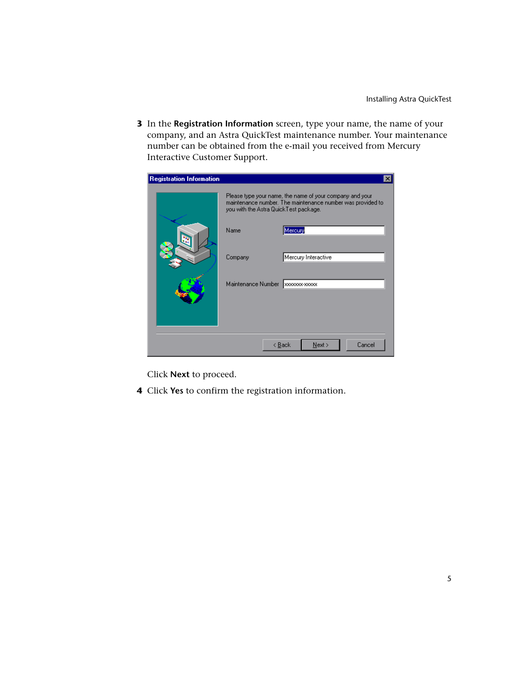**3** In the **Registration Information** screen, type your name, the name of your company, and an Astra QuickTest maintenance number. Your maintenance number can be obtained from the e-mail you received from Mercury Interactive Customer Support.

| Registration Information | $\vert x \vert$                                                                                                                                                 |
|--------------------------|-----------------------------------------------------------------------------------------------------------------------------------------------------------------|
|                          | Please type your name, the name of your company and your<br>maintenance number. The maintenance number was provided to<br>you with the Astra QuickTest package. |
|                          | Name<br>Mercury                                                                                                                                                 |
|                          | Mercury Interactive<br>Company                                                                                                                                  |
|                          | Maintenance Number<br><b>EXXXXXXX-XXXXX</b>                                                                                                                     |
|                          |                                                                                                                                                                 |
|                          | < <u>B</u> ack<br>Next ><br>Cancel                                                                                                                              |

Click **Next** to proceed.

 **4** Click **Yes** to confirm the registration information.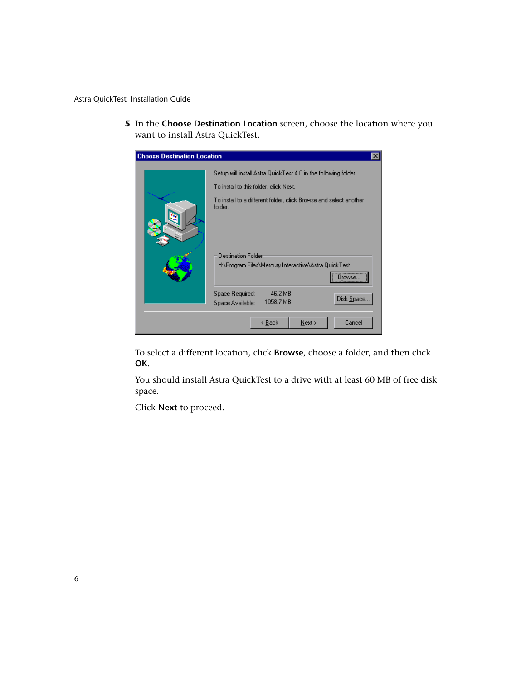**5** In the **Choose Destination Location** screen, choose the location where you want to install Astra QuickTest.

| <b>Choose Destination Location</b> |                                                                                                                                                                                           | $\vert x \vert$ |
|------------------------------------|-------------------------------------------------------------------------------------------------------------------------------------------------------------------------------------------|-----------------|
|                                    | Setup will install Astra QuickTest 4.0 in the following folder.<br>To install to this folder, click Next.<br>To install to a different folder, click Browse and select another<br>folder. |                 |
|                                    | <b>Destination Folder</b><br>d:\Program Files\Mercury Interactive\Astra QuickTest<br>Browse.                                                                                              |                 |
|                                    | 46.2 MB<br>Space Required:<br>Disk Space.<br>1058.7 MB<br>Space Available:                                                                                                                |                 |
|                                    | < <u>B</u> ack<br>Next ><br>Cancel                                                                                                                                                        |                 |

To select a different location, click **Browse**, choose a folder, and then click **OK.**

You should install Astra QuickTest to a drive with at least 60 MB of free disk space.

Click **Next** to proceed.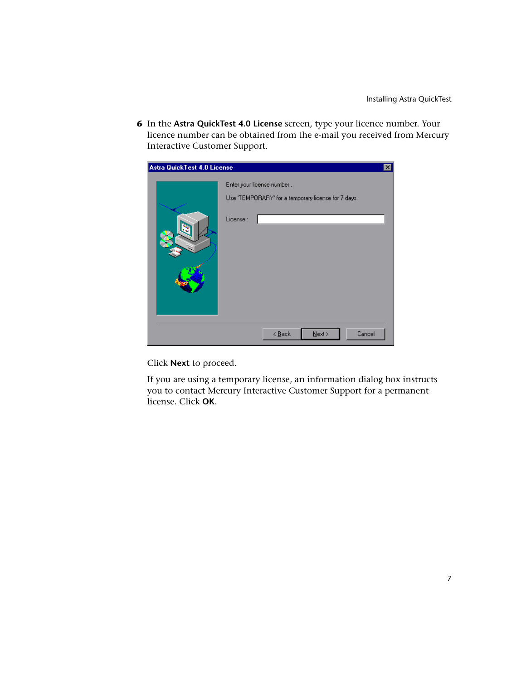**6** In the **Astra QuickTest 4.0 License** screen, type your licence number. Your licence number can be obtained from the e-mail you received from Mercury Interactive Customer Support.

| Astra QuickTest 4.0 License |                                                                                              | ⊠ |
|-----------------------------|----------------------------------------------------------------------------------------------|---|
|                             | Enter your license number.<br>Use 'TEMPORARY' for a temporary license for 7 days<br>License: |   |
|                             | Cancel<br>$\leq$ $\underline{\mathsf{B}}$ ack<br>$N$ ext >                                   |   |

Click **Next** to proceed.

If you are using a temporary license, an information dialog box instructs you to contact Mercury Interactive Customer Support for a permanent license. Click **OK**.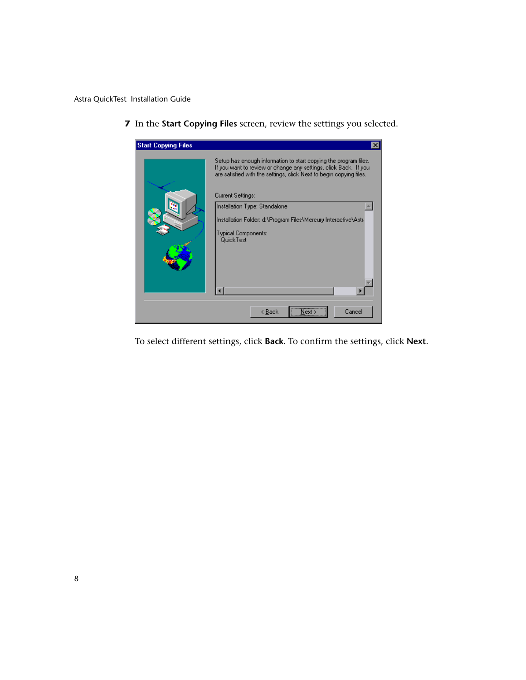**7** In the **Start Copying Files** screen, review the settings you selected.



To select different settings, click **Back**. To confirm the settings, click **Next**.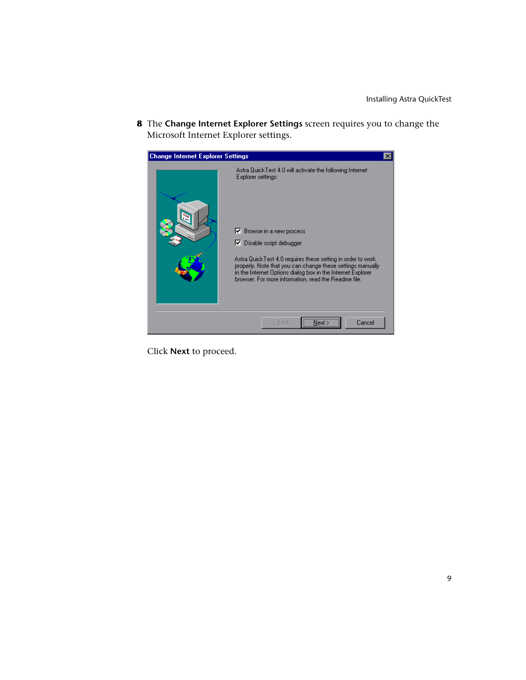**8** The **Change Internet Explorer Settings** screen requires you to change the Microsoft Internet Explorer settings.



Click **Next** to proceed.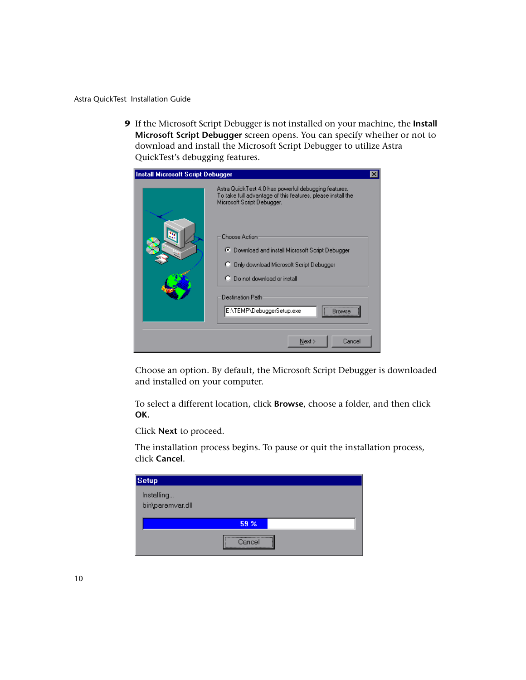**9** If the Microsoft Script Debugger is not installed on your machine, the **Install Microsoft Script Debugger** screen opens. You can specify whether or not to download and install the Microsoft Script Debugger to utilize Astra QuickTest's debugging features.

| <b>Install Microsoft Script Debugger</b> |                                                                                                                                                                                                                                                                                                                                                                | $\vert x \vert$ |
|------------------------------------------|----------------------------------------------------------------------------------------------------------------------------------------------------------------------------------------------------------------------------------------------------------------------------------------------------------------------------------------------------------------|-----------------|
|                                          | Astra QuickTest 4.0 has powerful debugging features.<br>To take full advantage of this features, please install the<br>Microsoft Script Debugger.<br>Choose Action<br>C Download and install Microsoft Script Debugger<br>C Only download Microsoft Script Debugger<br>C Do not download or install<br>Destination Path<br>E:\TEMP\DebuggerSetup.exe<br>Browse |                 |
|                                          | $N$ ext ><br>Cancel                                                                                                                                                                                                                                                                                                                                            |                 |

Choose an option. By default, the Microsoft Script Debugger is downloaded and installed on your computer.

To select a different location, click **Browse**, choose a folder, and then click **OK.**

Click **Next** to proceed.

The installation process begins. To pause or quit the installation process, click **Cancel**.

| <b>Setup</b>                   |        |  |
|--------------------------------|--------|--|
| Installing<br>bin\paramvar.dll |        |  |
|                                | 59 %   |  |
|                                | Cancel |  |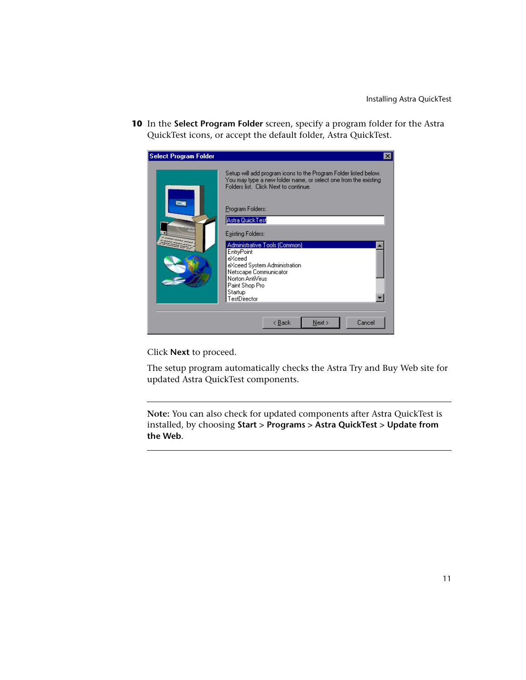**10** In the **Select Program Folder** screen, specify a program folder for the Astra QuickTest icons, or accept the default folder, Astra QuickTest.



Click **Next** to proceed.

The setup program automatically checks the Astra Try and Buy Web site for updated Astra QuickTest components.

**Note:** You can also check for updated components after Astra QuickTest is installed, by choosing **Start > Programs > Astra QuickTest > Update from the Web**.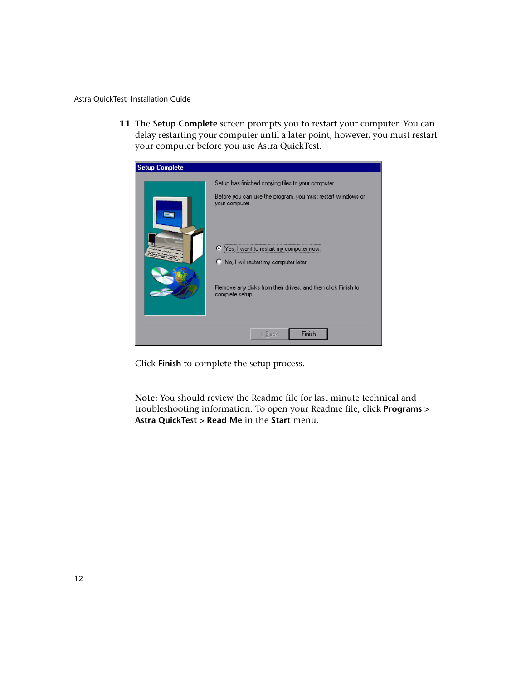**11** The **Setup Complete** screen prompts you to restart your computer. You can delay restarting your computer until a later point, however, you must restart your computer before you use Astra QuickTest.



Click **Finish** to complete the setup process.

**Note:** You should review the Readme file for last minute technical and troubleshooting information. To open your Readme file, click **Programs > Astra QuickTest > Read Me** in the **Start** menu.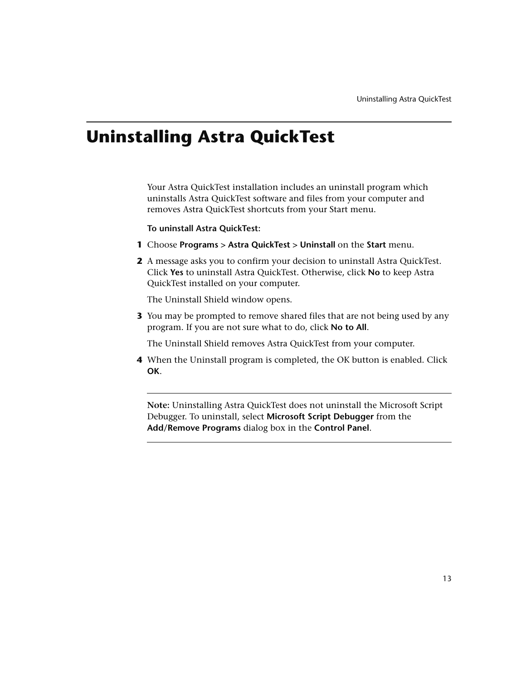## <span id="page-16-0"></span>**Uninstalling Astra QuickTest**

Your Astra QuickTest installation includes an uninstall program which uninstalls Astra QuickTest software and files from your computer and removes Astra QuickTest shortcuts from your Start menu.

#### **To uninstall Astra QuickTest:**

- **1** Choose **Programs > Astra QuickTest > Uninstall** on the **Start** menu.
- **2** A message asks you to confirm your decision to uninstall Astra QuickTest. Click **Yes** to uninstall Astra QuickTest. Otherwise, click **No** to keep Astra QuickTest installed on your computer.

The Uninstall Shield window opens.

 **3** You may be prompted to remove shared files that are not being used by any program. If you are not sure what to do, click **No to All**.

The Uninstall Shield removes Astra QuickTest from your computer.

 **4** When the Uninstall program is completed, the OK button is enabled. Click **OK**.

**Note:** Uninstalling Astra QuickTest does not uninstall the Microsoft Script Debugger. To uninstall, select **Microsoft Script Debugger** from the **Add/Remove Programs** dialog box in the **Control Panel**.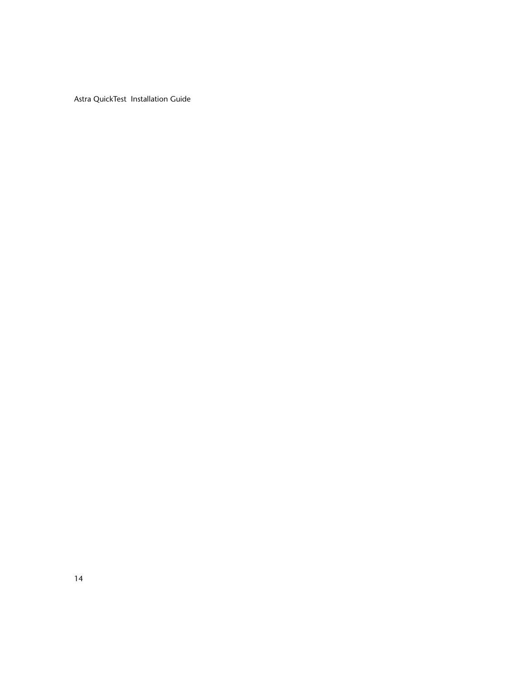Astra QuickTest Installation Guide